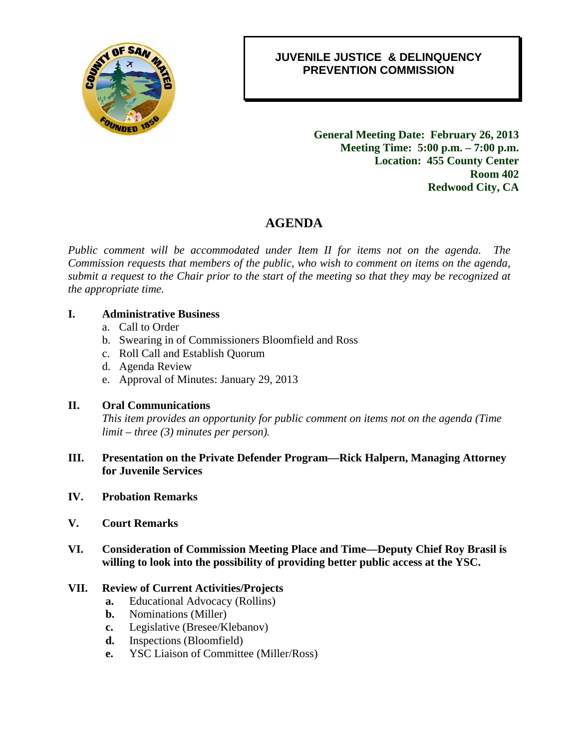

### 0B**JUVENILE JUSTICE & DELINQUENCY PREVENTION COMMISSION**

2B**General Meeting Date: February 26, 2013 Meeting Time: 5:00 p.m. – 7:00 p.m. Location: 455 County Center Room 402 Redwood City, CA** 

## 4B**AGENDA**

*Public comment will be accommodated under Item II for items not on the agenda. The Commission requests that members of the public, who wish to comment on items on the agenda, submit a request to the Chair prior to the start of the meeting so that they may be recognized at the appropriate time.* 

#### **I. Administrative Business**

- a. Call to Order
- b. Swearing in of Commissioners Bloomfield and Ross
- c. Roll Call and Establish Quorum
- d. Agenda Review
- e. Approval of Minutes: January 29, 2013

#### **II. Oral Communications**

*This item provides an opportunity for public comment on items not on the agenda (Time limit – three (3) minutes per person).* 

- **III. Presentation on the Private Defender Program—Rick Halpern, Managing Attorney for Juvenile Services**
- **IV. Probation Remarks**
- **V. Court Remarks**
- **VI. Consideration of Commission Meeting Place and Time—Deputy Chief Roy Brasil is willing to look into the possibility of providing better public access at the YSC.**

#### **VII. Review of Current Activities/Projects**

- **a.** Educational Advocacy (Rollins)
- **b.** Nominations (Miller)
- **c.** Legislative (Bresee/Klebanov)
- **d.** Inspections (Bloomfield)
- **e.** YSC Liaison of Committee (Miller/Ross)